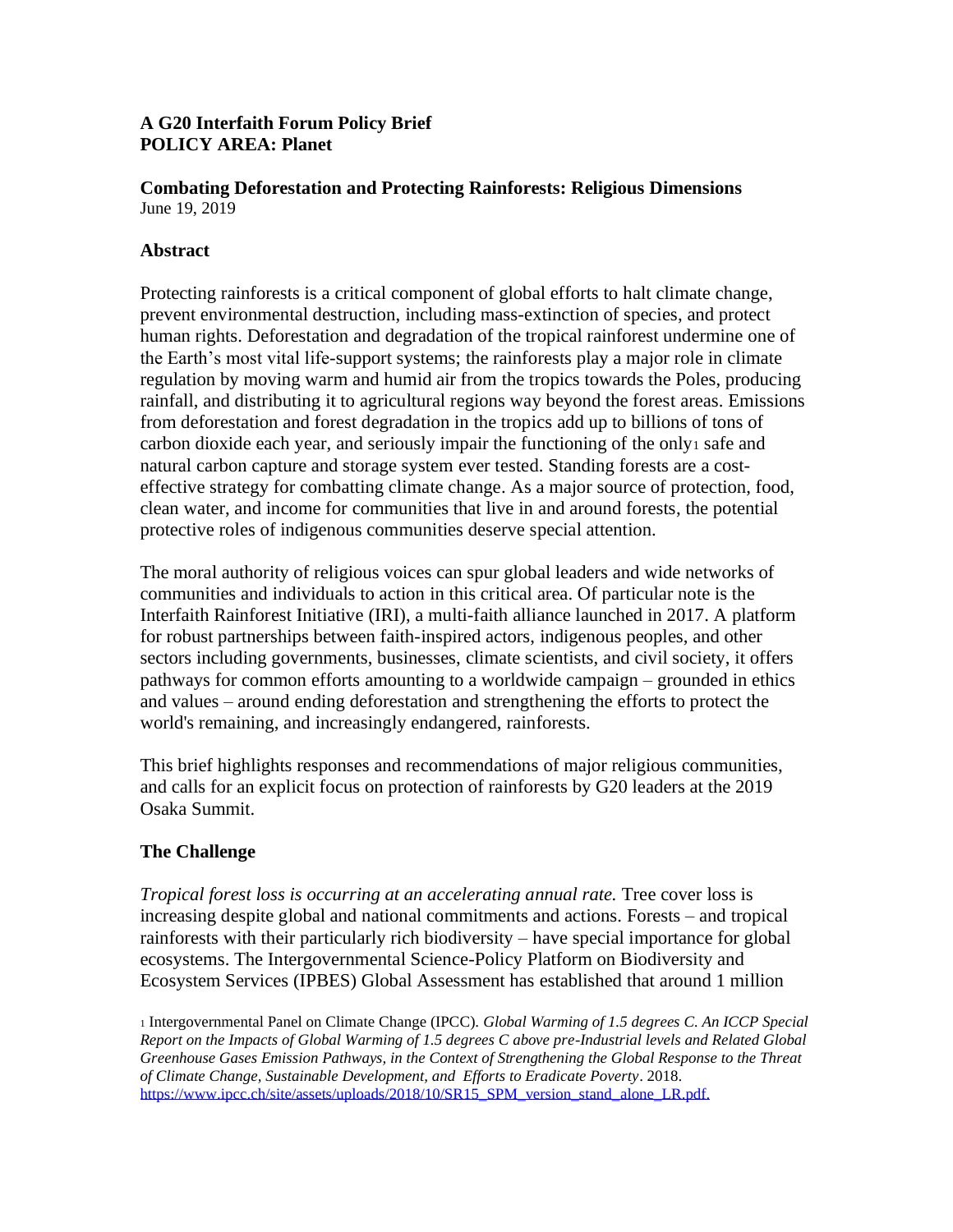### **A G20 Interfaith Forum Policy Brief POLICY AREA: Planet**

#### **Combating Deforestation and Protecting Rainforests: Religious Dimensions** June 19, 2019

# **Abstract**

Protecting rainforests is a critical component of global efforts to halt climate change, prevent environmental destruction, including mass-extinction of species, and protect human rights. Deforestation and degradation of the tropical rainforest undermine one of the Earth's most vital life-support systems; the rainforests play a major role in climate regulation by moving warm and humid air from the tropics towards the Poles, producing rainfall, and distributing it to agricultural regions way beyond the forest areas. Emissions from deforestation and forest degradation in the tropics add up to billions of tons of carbon dioxide each year, and seriously impair the functioning of the only<sup>1</sup> safe and natural carbon capture and storage system ever tested. Standing forests are a costeffective strategy for combatting climate change. As a major source of protection, food, clean water, and income for communities that live in and around forests, the potential protective roles of indigenous communities deserve special attention.

The moral authority of religious voices can spur global leaders and wide networks of communities and individuals to action in this critical area. Of particular note is the Interfaith Rainforest Initiative (IRI), a multi-faith alliance launched in 2017. A platform for robust partnerships between faith-inspired actors, indigenous peoples, and other sectors including governments, businesses, climate scientists, and civil society, it offers pathways for common efforts amounting to a worldwide campaign – grounded in ethics and values – around ending deforestation and strengthening the efforts to protect the world's remaining, and increasingly endangered, rainforests.

This brief highlights responses and recommendations of major religious communities, and calls for an explicit focus on protection of rainforests by G20 leaders at the 2019 Osaka Summit.

# **The Challenge**

*Tropical forest loss is occurring at an accelerating annual rate.* Tree cover loss is increasing despite global and national commitments and actions. Forests – and tropical rainforests with their particularly rich biodiversity – have special importance for global ecosystems. The Intergovernmental Science-Policy Platform on Biodiversity and Ecosystem Services (IPBES) Global Assessment has established that around 1 million

<sup>1</sup> Intergovernmental Panel on Climate Change (IPCC). *Global Warming of 1.5 degrees C. An ICCP Special Report on the Impacts of Global Warming of 1.5 degrees C above pre-Industrial levels and Related Global Greenhouse Gases Emission Pathways, in the Context of Strengthening the Global Response to the Threat of Climate Change, Sustainable Development, and Efforts to Eradicate Poverty*. 2018. [https://www.ipcc.ch/site/assets/uploads/2018/10/SR15\\_SPM\\_version\\_stand\\_alone\\_LR.pdf.](https://www.ipcc.ch/site/assets/uploads/2018/10/SR15_SPM_version_stand_alone_LR.pdf)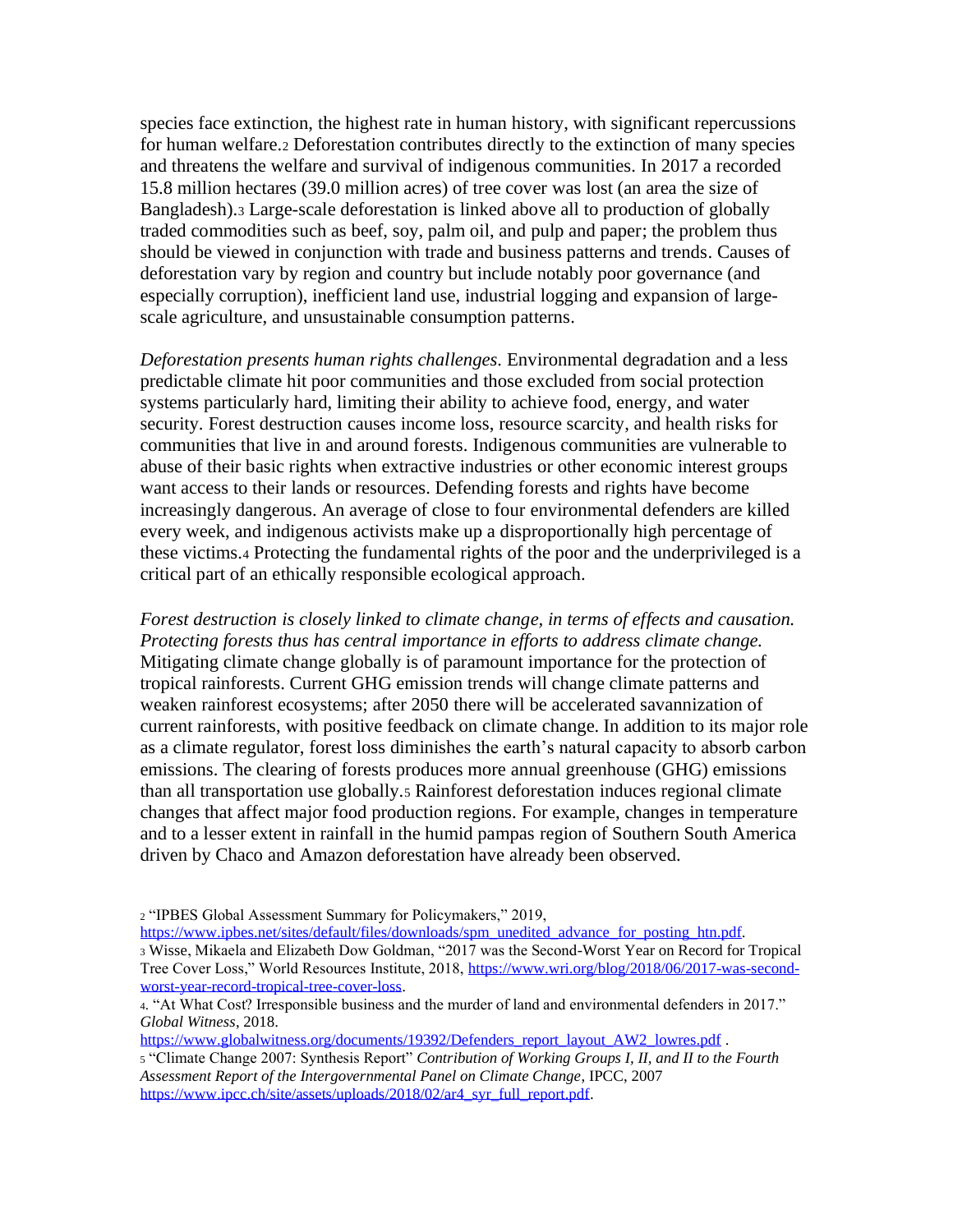species face extinction, the highest rate in human history, with significant repercussions for human welfare.<sup>2</sup> Deforestation contributes directly to the extinction of many species and threatens the welfare and survival of indigenous communities. In 2017 a recorded 15.8 million hectares (39.0 million acres) of tree cover was lost (an area the size of Bangladesh).<sup>3</sup> Large-scale deforestation is linked above all to production of globally traded commodities such as beef, soy, palm oil, and pulp and paper; the problem thus should be viewed in conjunction with trade and business patterns and trends. Causes of deforestation vary by region and country but include notably poor governance (and especially corruption), inefficient land use, industrial logging and expansion of largescale agriculture, and unsustainable consumption patterns.

*Deforestation presents human rights challenges.* Environmental degradation and a less predictable climate hit poor communities and those excluded from social protection systems particularly hard, limiting their ability to achieve food, energy, and water security. Forest destruction causes income loss, resource scarcity, and health risks for communities that live in and around forests. Indigenous communities are vulnerable to abuse of their basic rights when extractive industries or other economic interest groups want access to their lands or resources. Defending forests and rights have become increasingly dangerous. An average of close to four environmental defenders are killed every week, and indigenous activists make up a disproportionally high percentage of these victims.<sup>4</sup> Protecting the fundamental rights of the poor and the underprivileged is a critical part of an ethically responsible ecological approach.

*Forest destruction is closely linked to climate change, in terms of effects and causation. Protecting forests thus has central importance in efforts to address climate change.* Mitigating climate change globally is of paramount importance for the protection of tropical rainforests. Current GHG emission trends will change climate patterns and weaken rainforest ecosystems; after 2050 there will be accelerated savannization of current rainforests, with positive feedback on climate change. In addition to its major role as a climate regulator, forest loss diminishes the earth's natural capacity to absorb carbon emissions. The clearing of forests produces more annual greenhouse (GHG) emissions than all transportation use globally.<sup>5</sup> Rainforest deforestation induces regional climate changes that affect major food production regions. For example, changes in temperature and to a lesser extent in rainfall in the humid pampas region of Southern South America driven by Chaco and Amazon deforestation have already been observed.

[https://www.ipbes.net/sites/default/files/downloads/spm\\_unedited\\_advance\\_for\\_posting\\_htn.pdf.](https://www.ipbes.net/sites/default/files/downloads/spm_unedited_advance_for_posting_htn.pdf) <sup>3</sup> Wisse, Mikaela and Elizabeth Dow Goldman, "2017 was the Second-Worst Year on Record for Tropical Tree Cover Loss," World Resources Institute, 2018[, https://www.wri.org/blog/2018/06/2017-was-second](https://www.wri.org/blog/2018/06/2017-was-second-worst-year-record-tropical-tree-cover-loss)[worst-year-record-tropical-tree-cover-loss.](https://www.wri.org/blog/2018/06/2017-was-second-worst-year-record-tropical-tree-cover-loss)

[https://www.globalwitness.org/documents/19392/Defenders\\_report\\_layout\\_AW2\\_lowres.pdf](https://www.globalwitness.org/documents/19392/Defenders_report_layout_AW2_lowres.pdf) .

<sup>2</sup> "IPBES Global Assessment Summary for Policymakers," 2019,

<sup>4</sup>. "At What Cost? Irresponsible business and the murder of land and environmental defenders in 2017." *Global Witness*, 2018.

<sup>5</sup> "Climate Change 2007: Synthesis Report" *Contribution of Working Groups I, II, and II to the Fourth Assessment Report of the Intergovernmental Panel on Climate Change*, IPCC, 2007 [https://www.ipcc.ch/site/assets/uploads/2018/02/ar4\\_syr\\_full\\_report.pdf.](https://www.ipcc.ch/site/assets/uploads/2018/02/ar4_syr_full_report.pdf)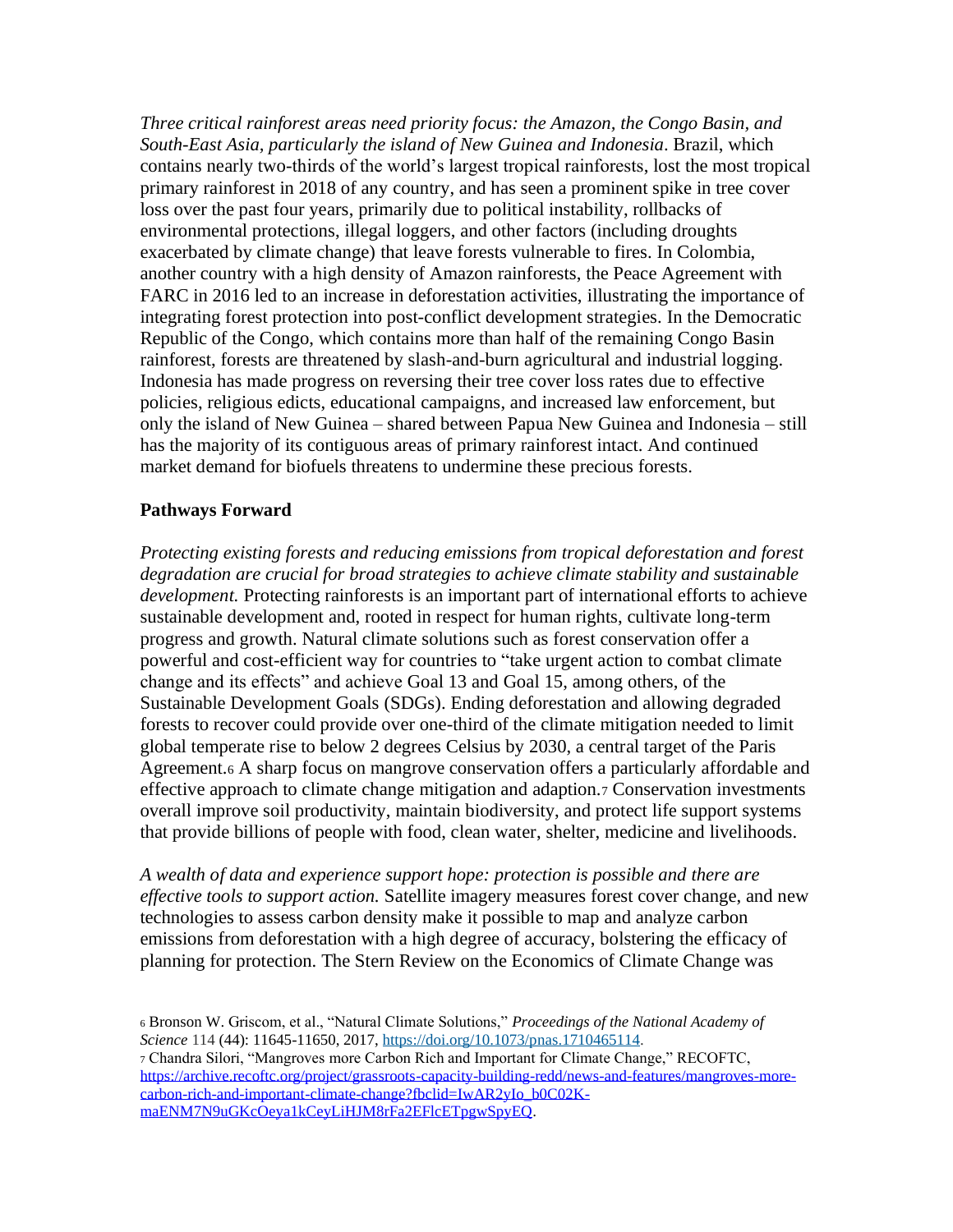*Three critical rainforest areas need priority focus: the Amazon, the Congo Basin, and South-East Asia, particularly the island of New Guinea and Indonesia*. Brazil, which contains nearly two-thirds of the world's largest tropical rainforests, lost the most tropical primary rainforest in 2018 of any country, and has seen a prominent spike in tree cover loss over the past four years, primarily due to political instability, rollbacks of environmental protections, illegal loggers, and other factors (including droughts exacerbated by climate change) that leave forests vulnerable to fires. In Colombia, another country with a high density of Amazon rainforests, the Peace Agreement with FARC in 2016 led to an increase in deforestation activities, illustrating the importance of integrating forest protection into post-conflict development strategies. In the Democratic Republic of the Congo, which contains more than half of the remaining Congo Basin rainforest, forests are threatened by slash-and-burn agricultural and industrial logging. Indonesia has made progress on reversing their tree cover loss rates due to effective policies, religious edicts, educational campaigns, and increased law enforcement, but only the island of New Guinea – shared between Papua New Guinea and Indonesia – still has the majority of its contiguous areas of primary rainforest intact. And continued market demand for biofuels threatens to undermine these precious forests.

### **Pathways Forward**

*Protecting existing forests and reducing emissions from tropical deforestation and forest degradation are crucial for broad strategies to achieve climate stability and sustainable development.* Protecting rainforests is an important part of international efforts to achieve sustainable development and, rooted in respect for human rights, cultivate long-term progress and growth. Natural climate solutions such as forest conservation offer a powerful and cost-efficient way for countries to "take urgent action to combat climate change and its effects" and achieve Goal 13 and Goal 15, among others, of the Sustainable Development Goals (SDGs). Ending deforestation and allowing degraded forests to recover could provide over one-third of the climate mitigation needed to limit global temperate rise to below 2 degrees Celsius by 2030, a central target of the Paris Agreement.<sup>6</sup> A sharp focus on mangrove conservation offers a particularly affordable and effective approach to climate change mitigation and adaption.<sup>7</sup> Conservation investments overall improve soil productivity, maintain biodiversity, and protect life support systems that provide billions of people with food, clean water, shelter, medicine and livelihoods.

*A wealth of data and experience support hope: protection is possible and there are effective tools to support action.* Satellite imagery measures forest cover change, and new technologies to assess carbon density make it possible to map and analyze carbon emissions from deforestation with a high degree of accuracy, bolstering the efficacy of planning for protection. The Stern Review on the Economics of Climate Change was

<sup>6</sup> Bronson W. Griscom, et al., "Natural Climate Solutions," *Proceedings of the National Academy of Science* 114 (44): 11645-11650, 2017, [https://doi.org/10.1073/pnas.1710465114.](https://doi.org/10.1073/pnas.1710465114)

<sup>7</sup> Chandra Silori, "Mangroves more Carbon Rich and Important for Climate Change," RECOFTC, [https://archive.recoftc.org/project/grassroots-capacity-building-redd/news-and-features/mangroves-more](https://archive.recoftc.org/project/grassroots-capacity-building-redd/news-and-features/mangroves-more-carbon-rich-and-important-climate-change?fbclid=IwAR2yIo_b0C02K-maENM7N9uGKcOeya1kCeyLiHJM8rFa2EFlcETpgwSpyEQ)[carbon-rich-and-important-climate-change?fbclid=IwAR2yIo\\_b0C02K](https://archive.recoftc.org/project/grassroots-capacity-building-redd/news-and-features/mangroves-more-carbon-rich-and-important-climate-change?fbclid=IwAR2yIo_b0C02K-maENM7N9uGKcOeya1kCeyLiHJM8rFa2EFlcETpgwSpyEQ)[maENM7N9uGKcOeya1kCeyLiHJM8rFa2EFlcETpgwSpyEQ.](https://archive.recoftc.org/project/grassroots-capacity-building-redd/news-and-features/mangroves-more-carbon-rich-and-important-climate-change?fbclid=IwAR2yIo_b0C02K-maENM7N9uGKcOeya1kCeyLiHJM8rFa2EFlcETpgwSpyEQ)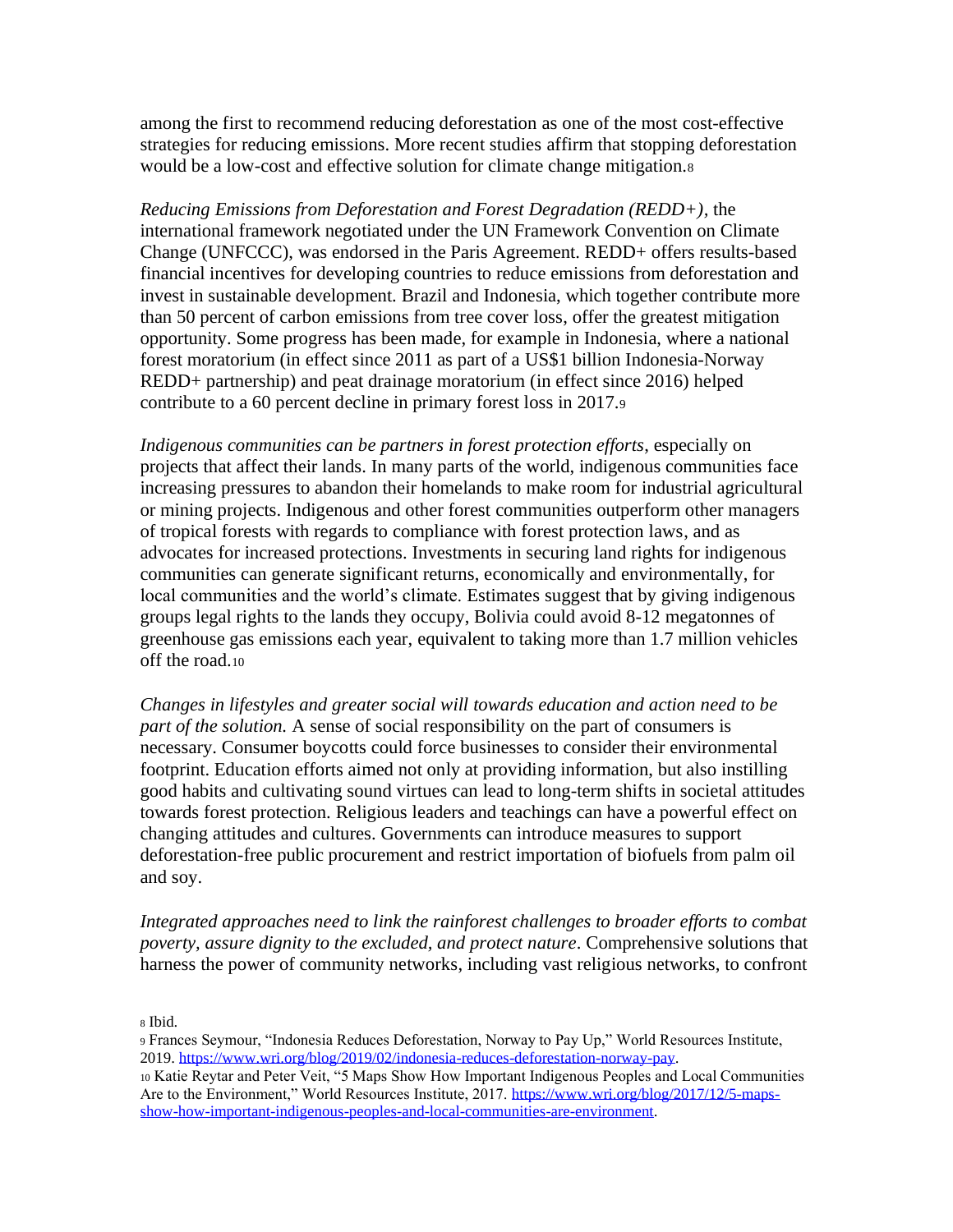among the first to recommend reducing deforestation as one of the most cost-effective strategies for reducing emissions. More recent studies affirm that stopping deforestation would be a low-cost and effective solution for climate change mitigation.<sup>8</sup>

*Reducing Emissions from Deforestation and Forest Degradation (REDD+),* the international framework negotiated under the UN Framework Convention on Climate Change (UNFCCC), was endorsed in the Paris Agreement. REDD+ offers results-based financial incentives for developing countries to reduce emissions from deforestation and invest in sustainable development. Brazil and Indonesia, which together contribute more than 50 percent of carbon emissions from tree cover loss, offer the greatest mitigation opportunity. Some progress has been made, for example in Indonesia, where a national forest moratorium (in effect since 2011 as part of a US\$1 billion Indonesia-Norway REDD+ partnership) and peat drainage moratorium (in effect since 2016) helped contribute to a 60 percent decline in primary forest loss in 2017.<sup>9</sup>

*Indigenous communities can be partners in forest protection efforts*, especially on projects that affect their lands. In many parts of the world, indigenous communities face increasing pressures to abandon their homelands to make room for industrial agricultural or mining projects. Indigenous and other forest communities outperform other managers of tropical forests with regards to compliance with forest protection laws, and as advocates for increased protections. Investments in securing land rights for indigenous communities can generate significant returns, economically and environmentally, for local communities and the world's climate. Estimates suggest that by giving indigenous groups legal rights to the lands they occupy, Bolivia could [avoid 8-12 megatonnes](https://wriorg.s3.amazonaws.com/s3fs-public/Climate_Benefits_Tenure_Costs.pdf) of greenhouse gas emissions each year, equivalent to taking more than 1.7 million vehicles off the road.<sup>10</sup>

*Changes in lifestyles and greater social will towards education and action need to be part of the solution.* A sense of social responsibility on the part of consumers is necessary. Consumer boycotts could force businesses to consider their environmental footprint. Education efforts aimed not only at providing information, but also instilling good habits and cultivating sound virtues can lead to long-term shifts in societal attitudes towards forest protection. Religious leaders and teachings can have a powerful effect on changing attitudes and cultures. Governments can introduce measures to support deforestation-free public procurement and restrict importation of biofuels from palm oil and soy.

*Integrated approaches need to link the rainforest challenges to broader efforts to combat poverty, assure dignity to the excluded, and protect nature*. Comprehensive solutions that harness the power of community networks, including vast religious networks, to confront

<sup>8</sup> Ibid.

- <sup>9</sup> Frances Seymour, "Indonesia Reduces Deforestation, Norway to Pay Up," World Resources Institute, 2019. [https://www.wri.org/blog/2019/02/indonesia-reduces-deforestation-norway-pay.](https://www.wri.org/blog/2019/02/indonesia-reduces-deforestation-norway-pay)
- <sup>10</sup> Katie Reytar and Peter Veit, "5 Maps Show How Important Indigenous Peoples and Local Communities Are to the Environment," World Resources Institute, 2017[. https://www.wri.org/blog/2017/12/5-maps](https://www.wri.org/blog/2017/12/5-maps-show-how-important-indigenous-peoples-and-local-communities-are-environment)[show-how-important-indigenous-peoples-and-local-communities-are-environment.](https://www.wri.org/blog/2017/12/5-maps-show-how-important-indigenous-peoples-and-local-communities-are-environment)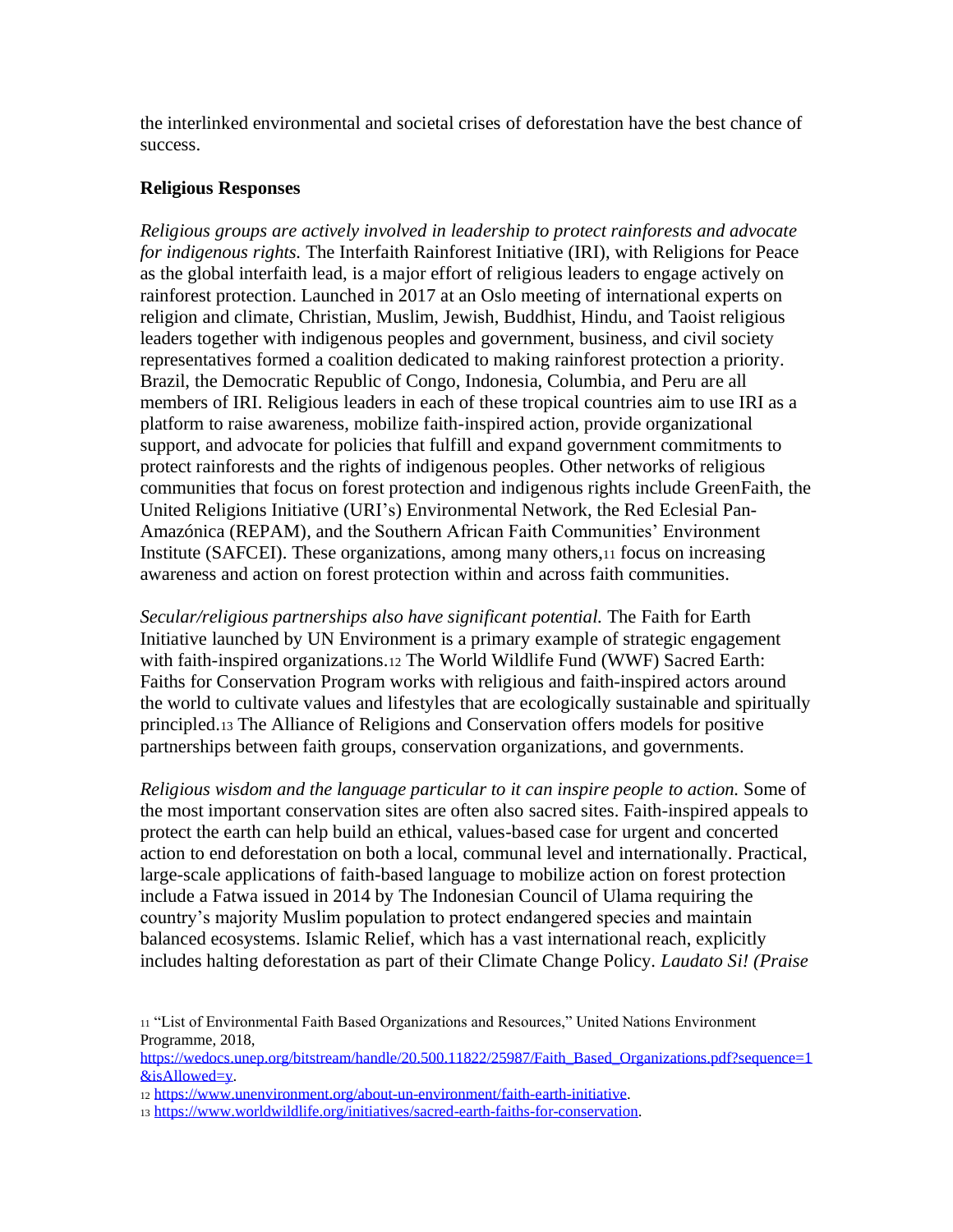the interlinked environmental and societal crises of deforestation have the best chance of success.

#### **Religious Responses**

*Religious groups are actively involved in leadership to protect rainforests and advocate for indigenous rights.* The Interfaith Rainforest Initiative (IRI), with Religions for Peace as the global interfaith lead, is a major effort of religious leaders to engage actively on rainforest protection. Launched in 2017 at an Oslo meeting of international experts on religion and climate, Christian, Muslim, Jewish, Buddhist, Hindu, and Taoist religious leaders together with indigenous peoples and government, business, and civil society representatives formed a coalition dedicated to making rainforest protection a priority. Brazil, the Democratic Republic of Congo, Indonesia, Columbia, and Peru are all members of IRI. Religious leaders in each of these tropical countries aim to use IRI as a platform to raise awareness, mobilize faith-inspired action, provide organizational support, and advocate for policies that fulfill and expand government commitments to protect rainforests and the rights of indigenous peoples. Other networks of religious communities that focus on forest protection and indigenous rights include GreenFaith, the United Religions Initiative (URI's) Environmental Network, the Red Eclesial Pan-Amazónica (REPAM), and the Southern African Faith Communities' Environment Institute (SAFCEI). These organizations, among many others,<sup>11</sup> focus on increasing awareness and action on forest protection within and across faith communities.

*Secular/religious partnerships also have significant potential.* The Faith for Earth Initiative launched by UN Environment is a primary example of strategic engagement with faith-inspired organizations.<sup>12</sup> The World Wildlife Fund (WWF) Sacred Earth: Faiths for Conservation Program works with religious and faith-inspired actors around the world to cultivate values and lifestyles that are ecologically sustainable and spiritually principled.<sup>13</sup> The Alliance of Religions and Conservation offers models for positive partnerships between faith groups, conservation organizations, and governments.

*Religious wisdom and the language particular to it can inspire people to action.* Some of the most important conservation sites are often also sacred sites. Faith-inspired appeals to protect the earth can help build an ethical, values-based case for urgent and concerted action to end deforestation on both a local, communal level and internationally. Practical, large-scale applications of faith-based language to mobilize action on forest protection include a Fatwa issued in 2014 by The Indonesian Council of Ulama requiring the country's majority Muslim population to protect endangered species and maintain balanced ecosystems. Islamic Relief, which has a vast international reach, explicitly includes halting deforestation as part of their Climate Change Policy. *Laudato Si! (Praise* 

[https://wedocs.unep.org/bitstream/handle/20.500.11822/25987/Faith\\_Based\\_Organizations.pdf?sequence=1](https://wedocs.unep.org/bitstream/handle/20.500.11822/25987/Faith_Based_Organizations.pdf?sequence=1&isAllowed=y) [&isAllowed=y.](https://wedocs.unep.org/bitstream/handle/20.500.11822/25987/Faith_Based_Organizations.pdf?sequence=1&isAllowed=y)

<sup>11</sup> "List of Environmental Faith Based Organizations and Resources," United Nations Environment Programme, 2018,

<sup>12</sup> [https://www.unenvironment.org/about-un-environment/faith-earth-initiative.](https://www.unenvironment.org/about-un-environment/faith-earth-initiative)

<sup>13</sup> [https://www.worldwildlife.org/initiatives/sacred-earth-faiths-for-conservation.](https://www.worldwildlife.org/initiatives/sacred-earth-faiths-for-conservation)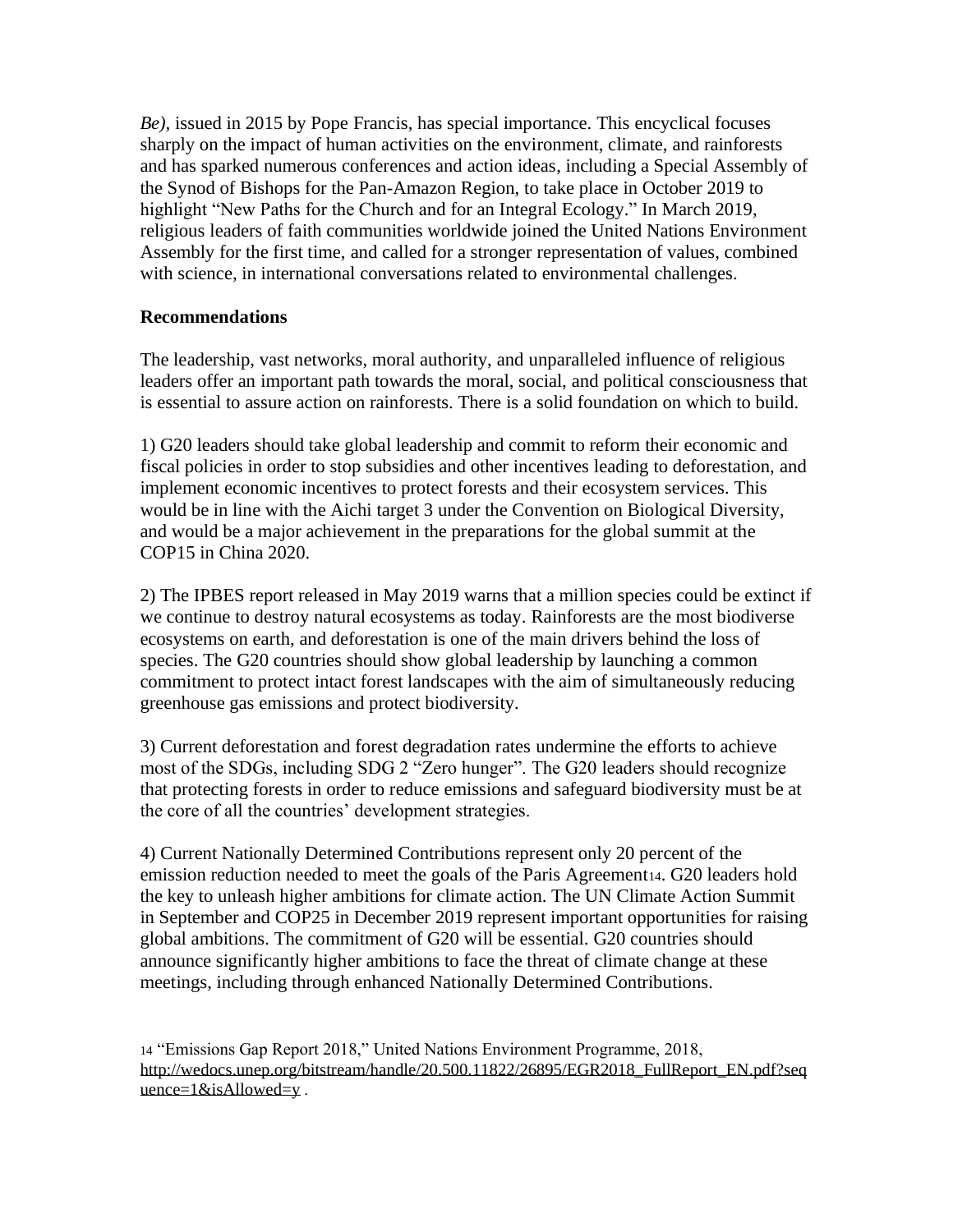*Be),* issued in 2015 by Pope Francis, has special importance. This encyclical focuses sharply on the impact of human activities on the environment, climate, and rainforests and has sparked numerous conferences and action ideas, including a Special Assembly of the Synod of Bishops for the Pan-Amazon Region, to take place in October 2019 to highlight "New Paths for the Church and for an Integral Ecology." In March 2019, religious leaders of faith communities worldwide joined the United Nations Environment Assembly for the first time, and called for a stronger representation of values, combined with science, in international conversations related to environmental challenges.

### **Recommendations**

The leadership, vast networks, moral authority, and unparalleled influence of religious leaders offer an important path towards the moral, social, and political consciousness that is essential to assure action on rainforests. There is a solid foundation on which to build.

1) G20 leaders should take global leadership and commit to reform their economic and fiscal policies in order to stop subsidies and other incentives leading to deforestation, and implement economic incentives to protect forests and their ecosystem services. This would be in line with the Aichi target 3 under the Convention on Biological Diversity, and would be a major achievement in the preparations for the global summit at the COP15 in China 2020.

2) The IPBES report released in May 2019 warns that a million species could be extinct if we continue to destroy natural ecosystems as today. Rainforests are the most biodiverse ecosystems on earth, and deforestation is one of the main drivers behind the loss of species. The G20 countries should show global leadership by launching a common commitment to protect intact forest landscapes with the aim of simultaneously reducing greenhouse gas emissions and protect biodiversity.

3) Current deforestation and forest degradation rates undermine the efforts to achieve most of the SDGs, including SDG 2 "Zero hunger". The G20 leaders should recognize that protecting forests in order to reduce emissions and safeguard biodiversity must be at the core of all the countries' development strategies.

4) Current Nationally Determined Contributions represent only 20 percent of the emission reduction needed to meet the goals of the Paris Agreement<sub>14</sub>. G20 leaders hold the key to unleash higher ambitions for climate action. The UN Climate Action Summit in September and COP25 in December 2019 represent important opportunities for raising global ambitions. The commitment of G20 will be essential. G20 countries should announce significantly higher ambitions to face the threat of climate change at these meetings, including through enhanced Nationally Determined Contributions.

14 "Emissions Gap Report 2018," United Nations Environment Programme, 2018, [http://wedocs.unep.org/bitstream/handle/20.500.11822/26895/EGR2018\\_FullReport\\_EN.pdf?seq](http://wedocs.unep.org/bitstream/handle/20.500.11822/26895/EGR2018_FullReport_EN.pdf?sequence=1&isAllowed=y) [uence=1&isAllowed=y](http://wedocs.unep.org/bitstream/handle/20.500.11822/26895/EGR2018_FullReport_EN.pdf?sequence=1&isAllowed=y).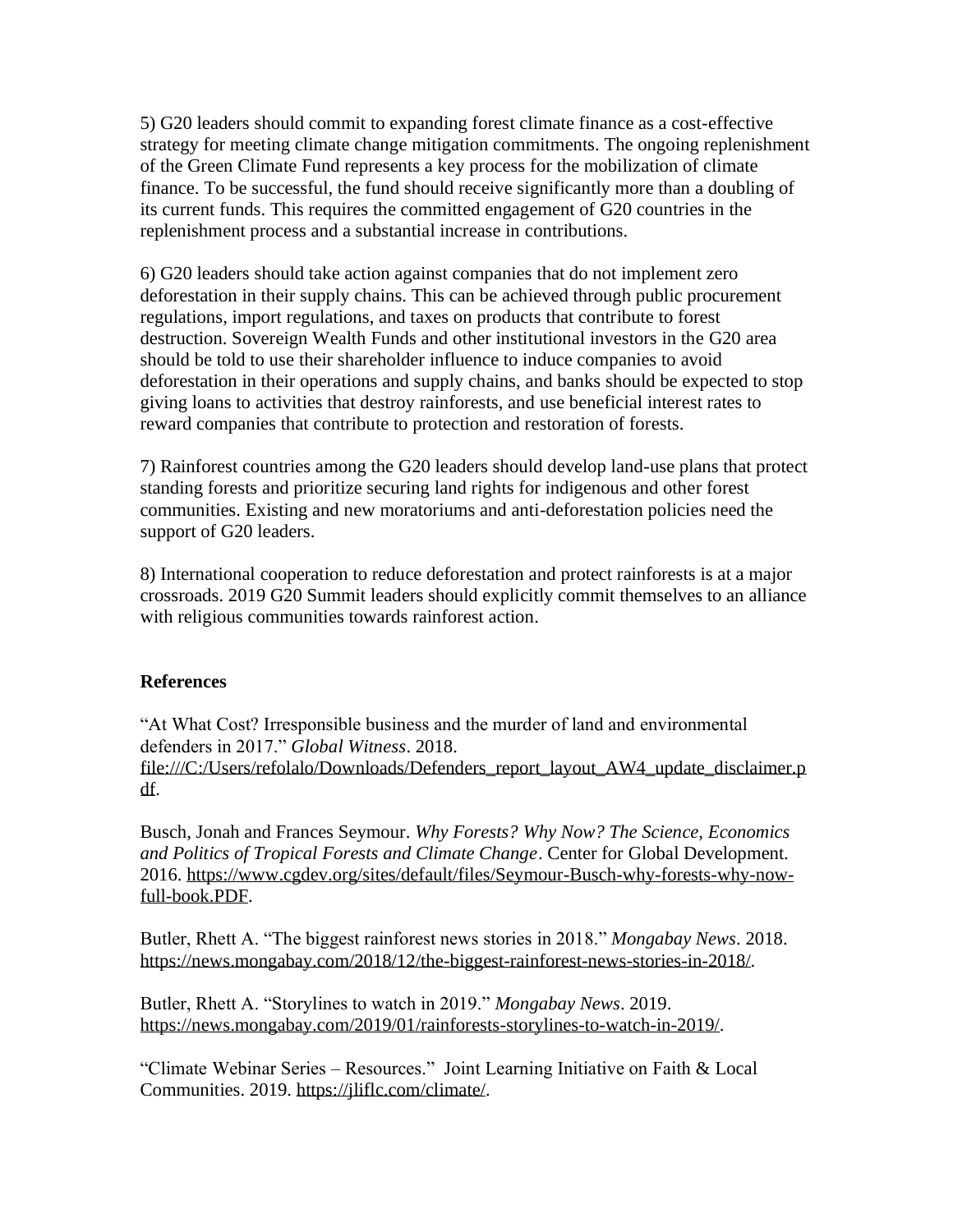5) G20 leaders should commit to expanding forest climate finance as a cost-effective strategy for meeting climate change mitigation commitments. The ongoing replenishment of the Green Climate Fund represents a key process for the mobilization of climate finance. To be successful, the fund should receive significantly more than a doubling of its current funds. This requires the committed engagement of G20 countries in the replenishment process and a substantial increase in contributions.

6) G20 leaders should take action against companies that do not implement zero deforestation in their supply chains. This can be achieved through public procurement regulations, import regulations, and taxes on products that contribute to forest destruction. Sovereign Wealth Funds and other institutional investors in the G20 area should be told to use their shareholder influence to induce companies to avoid deforestation in their operations and supply chains, and banks should be expected to stop giving loans to activities that destroy rainforests, and use beneficial interest rates to reward companies that contribute to protection and restoration of forests.

7) Rainforest countries among the G20 leaders should develop land-use plans that protect standing forests and prioritize securing land rights for indigenous and other forest communities. Existing and new moratoriums and anti-deforestation policies need the support of G20 leaders.

8) International cooperation to reduce deforestation and protect rainforests is at a major crossroads. 2019 G20 Summit leaders should explicitly commit themselves to an alliance with religious communities towards rainforest action.

# **References**

"At What Cost? Irresponsible business and the murder of land and environmental defenders in 2017." *Global Witness*. 2018. [file:///C:/Users/refolalo/Downloads/Defenders\\_report\\_layout\\_AW4\\_update\\_disclaimer.p](file:///C:/Users/refolalo/Downloads/Defenders_report_layout_AW4_update_disclaimer.pdf) [df.](file:///C:/Users/refolalo/Downloads/Defenders_report_layout_AW4_update_disclaimer.pdf)

Busch, Jonah and Frances Seymour. *Why Forests? Why Now? The Science, Economics and Politics of Tropical Forests and Climate Change*. Center for Global Development. 2016. [https://www.cgdev.org/sites/default/files/Seymour-Busch-why-forests-why-now](https://www.cgdev.org/sites/default/files/Seymour-Busch-why-forests-why-now-full-book.PDF)[full-book.PDF.](https://www.cgdev.org/sites/default/files/Seymour-Busch-why-forests-why-now-full-book.PDF)

Butler, Rhett A. "The biggest rainforest news stories in 2018." *Mongabay News*. 2018. [https://news.mongabay.com/2018/12/the-biggest-rainforest-news-stories-in-2018/.](https://news.mongabay.com/2018/12/the-biggest-rainforest-news-stories-in-2018/)

Butler, Rhett A. "Storylines to watch in 2019." *Mongabay News*. 2019. [https://news.mongabay.com/2019/01/rainforests-storylines-to-watch-in-2019/.](https://news.mongabay.com/2019/01/rainforests-storylines-to-watch-in-2019/)

"Climate Webinar Series – Resources." Joint Learning Initiative on Faith & Local Communities. 2019. [https://jliflc.com/climate/.](https://jliflc.com/climate/)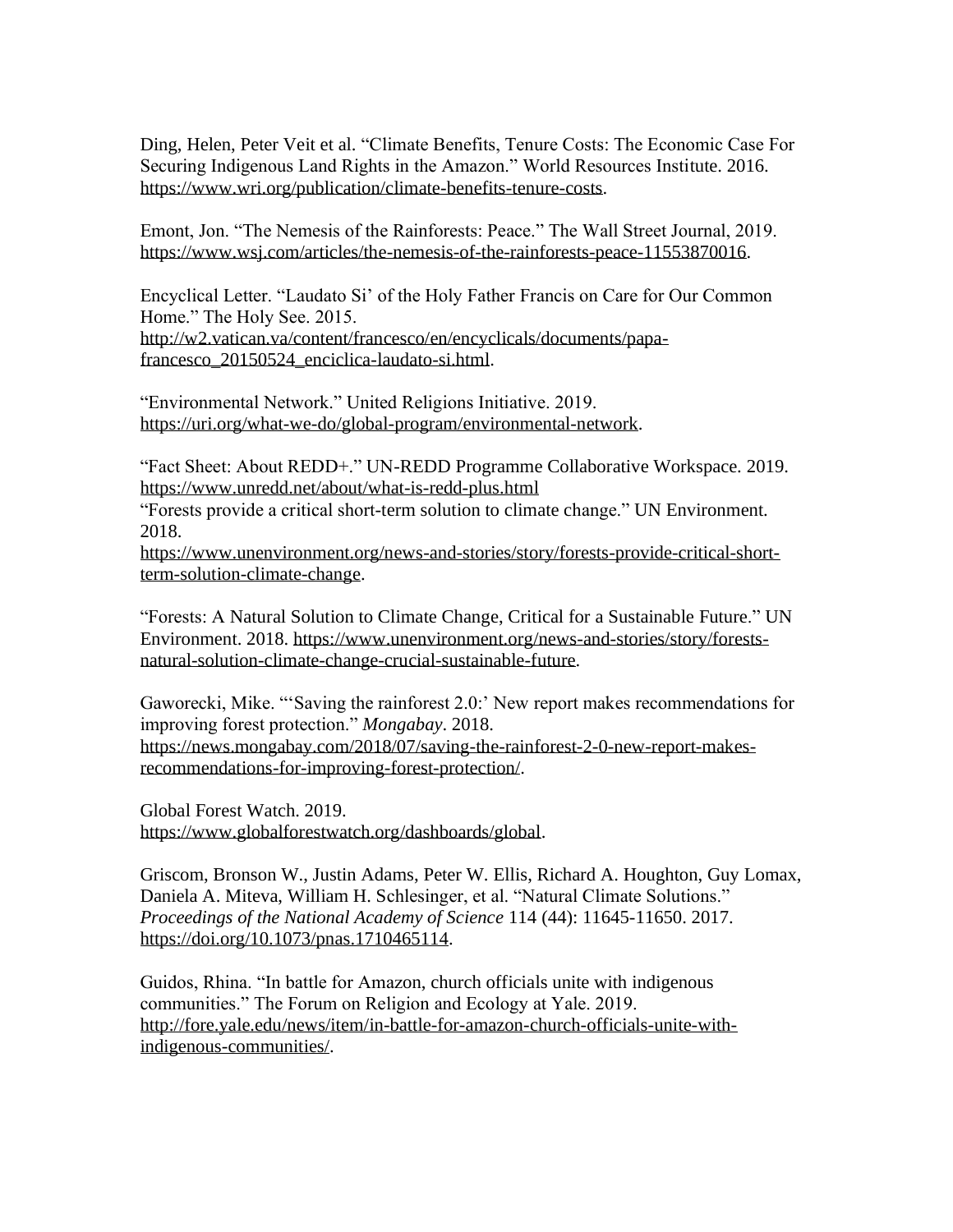Ding, Helen, Peter Veit et al. "Climate Benefits, Tenure Costs: The Economic Case For Securing Indigenous Land Rights in the Amazon." World Resources Institute. 2016. [https://www.wri.org/publication/climate-benefits-tenure-costs.](https://www.wri.org/publication/climate-benefits-tenure-costs)

Emont, Jon. "The Nemesis of the Rainforests: Peace." The Wall Street Journal, 2019. [https://www.wsj.com/articles/the-nemesis-of-the-rainforests-peace-11553870016.](https://www.wsj.com/articles/the-nemesis-of-the-rainforests-peace-11553870016)

Encyclical Letter. "Laudato Si' of the Holy Father Francis on Care for Our Common Home." The Holy See. 2015. [http://w2.vatican.va/content/francesco/en/encyclicals/documents/papa](http://w2.vatican.va/content/francesco/en/encyclicals/documents/papa-francesco_20150524_enciclica-laudato-si.html)[francesco\\_20150524\\_enciclica-laudato-si.html.](http://w2.vatican.va/content/francesco/en/encyclicals/documents/papa-francesco_20150524_enciclica-laudato-si.html)

"Environmental Network." United Religions Initiative. 2019. [https://uri.org/what-we-do/global-program/environmental-network.](https://uri.org/what-we-do/global-program/environmental-network)

"Fact Sheet: About REDD+." UN-REDD Programme Collaborative Workspace. 2019. <https://www.unredd.net/about/what-is-redd-plus.html>

"Forests provide a critical short-term solution to climate change." UN Environment. 2018.

[https://www.unenvironment.org/news-and-stories/story/forests-provide-critical-short](https://www.unenvironment.org/news-and-stories/story/forests-provide-critical-short-term-solution-climate-change)[term-solution-climate-change.](https://www.unenvironment.org/news-and-stories/story/forests-provide-critical-short-term-solution-climate-change)

"Forests: A Natural Solution to Climate Change, Critical for a Sustainable Future." UN Environment. 2018. [https://www.unenvironment.org/news-and-stories/story/forests](https://www.unenvironment.org/news-and-stories/story/forests-natural-solution-climate-change-crucial-sustainable-future)[natural-solution-climate-change-crucial-sustainable-future.](https://www.unenvironment.org/news-and-stories/story/forests-natural-solution-climate-change-crucial-sustainable-future)

Gaworecki, Mike. "'Saving the rainforest 2.0:' New report makes recommendations for improving forest protection." *Mongabay*. 2018. [https://news.mongabay.com/2018/07/saving-the-rainforest-2-0-new-report-makes](https://news.mongabay.com/2018/07/saving-the-rainforest-2-0-new-report-makes-recommendations-for-improving-forest-protection/)[recommendations-for-improving-forest-protection/.](https://news.mongabay.com/2018/07/saving-the-rainforest-2-0-new-report-makes-recommendations-for-improving-forest-protection/)

Global Forest Watch. 2019. [https://www.globalforestwatch.org/dashboards/global.](https://www.globalforestwatch.org/dashboards/global)

Griscom, Bronson W., Justin Adams, Peter W. Ellis, Richard A. Houghton, Guy Lomax, Daniela A. Miteva, William H. Schlesinger, et al. "Natural Climate Solutions." *Proceedings of the National Academy of Science* 114 (44): 11645-11650. 2017. [https://doi.org/10.1073/pnas.1710465114.](https://doi.org/10.1073/pnas.1710465114)

Guidos, Rhina. "In battle for Amazon, church officials unite with indigenous communities." The Forum on Religion and Ecology at Yale. 2019. [http://fore.yale.edu/news/item/in-battle-for-amazon-church-officials-unite-with](http://fore.yale.edu/news/item/in-battle-for-amazon-church-officials-unite-with-indigenous-communities/)[indigenous-communities/.](http://fore.yale.edu/news/item/in-battle-for-amazon-church-officials-unite-with-indigenous-communities/)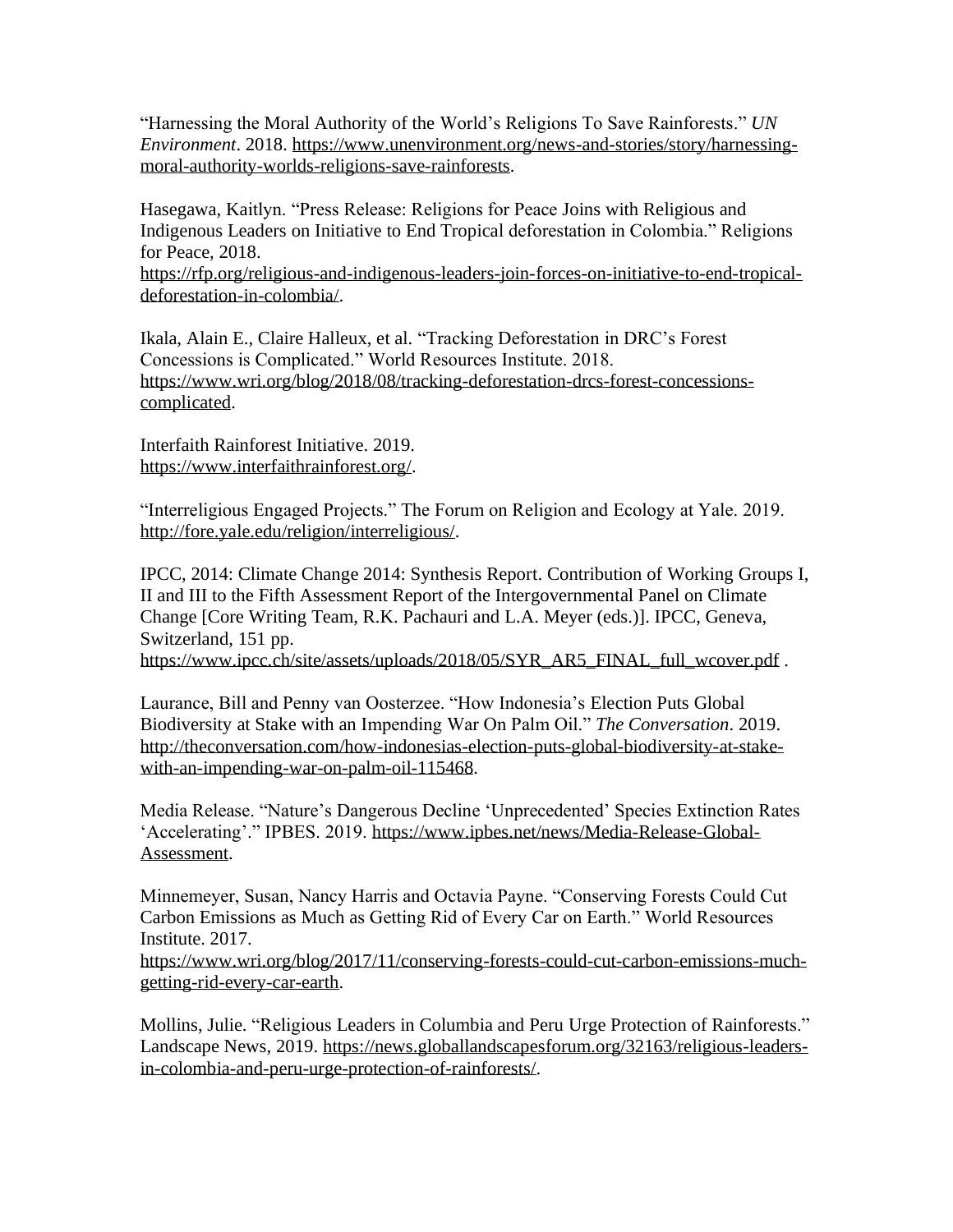"Harnessing the Moral Authority of the World's Religions To Save Rainforests." *UN Environment*. 2018. [https://www.unenvironment.org/news-and-stories/story/harnessing](https://www.unenvironment.org/news-and-stories/story/harnessing-moral-authority-worlds-religions-save-rainforests)[moral-authority-worlds-religions-save-rainforests.](https://www.unenvironment.org/news-and-stories/story/harnessing-moral-authority-worlds-religions-save-rainforests)

Hasegawa, Kaitlyn. "Press Release: Religions for Peace Joins with Religious and Indigenous Leaders on Initiative to End Tropical deforestation in Colombia." Religions for Peace, 2018. [https://rfp.org/religious-and-indigenous-leaders-join-forces-on-initiative-to-end-tropical](https://rfp.org/religious-and-indigenous-leaders-join-forces-on-initiative-to-end-tropical-deforestation-in-colombia/)[deforestation-in-colombia/.](https://rfp.org/religious-and-indigenous-leaders-join-forces-on-initiative-to-end-tropical-deforestation-in-colombia/)

Ikala, Alain E., Claire Halleux, et al. "Tracking Deforestation in DRC's Forest Concessions is Complicated." World Resources Institute. 2018. [https://www.wri.org/blog/2018/08/tracking-deforestation-drcs-forest-concessions](https://www.wri.org/blog/2018/08/tracking-deforestation-drcs-forest-concessions-complicated)[complicated.](https://www.wri.org/blog/2018/08/tracking-deforestation-drcs-forest-concessions-complicated)

Interfaith Rainforest Initiative. 2019. [https://www.interfaithrainforest.org/.](https://www.interfaithrainforest.org/)

"Interreligious Engaged Projects." The Forum on Religion and Ecology at Yale. 2019. [http://fore.yale.edu/religion/interreligious/.](http://fore.yale.edu/religion/interreligious/)

IPCC, 2014: Climate Change 2014: Synthesis Report. Contribution of Working Groups I, II and III to the Fifth Assessment Report of the Intergovernmental Panel on Climate Change [Core Writing Team, R.K. Pachauri and L.A. Meyer (eds.)]. IPCC, Geneva, Switzerland, 151 pp.

[https://www.ipcc.ch/site/assets/uploads/2018/05/SYR\\_AR5\\_FINAL\\_full\\_wcover.pdf](https://www.ipcc.ch/site/assets/uploads/2018/05/SYR_AR5_FINAL_full_wcover.pdf).

Laurance, Bill and Penny van Oosterzee. "How Indonesia's Election Puts Global Biodiversity at Stake with an Impending War On Palm Oil." *The Conversation*. 2019. [http://theconversation.com/how-indonesias-election-puts-global-biodiversity-at-stake](http://theconversation.com/how-indonesias-election-puts-global-biodiversity-at-stake-with-an-impending-war-on-palm-oil-115468)[with-an-impending-war-on-palm-oil-115468.](http://theconversation.com/how-indonesias-election-puts-global-biodiversity-at-stake-with-an-impending-war-on-palm-oil-115468)

Media Release. "Nature's Dangerous Decline 'Unprecedented' Species Extinction Rates 'Accelerating'." IPBES. 2019. [https://www.ipbes.net/news/Media-Release-Global-](https://www.ipbes.net/news/Media-Release-Global-Assessment)[Assessment.](https://www.ipbes.net/news/Media-Release-Global-Assessment)

Minnemeyer, Susan, Nancy Harris and Octavia Payne. "Conserving Forests Could Cut Carbon Emissions as Much as Getting Rid of Every Car on Earth." World Resources Institute. 2017.

[https://www.wri.org/blog/2017/11/conserving-forests-could-cut-carbon-emissions-much](https://www.wri.org/blog/2017/11/conserving-forests-could-cut-carbon-emissions-much-getting-rid-every-car-earth)[getting-rid-every-car-earth.](https://www.wri.org/blog/2017/11/conserving-forests-could-cut-carbon-emissions-much-getting-rid-every-car-earth)

Mollins, Julie. "Religious Leaders in Columbia and Peru Urge Protection of Rainforests." Landscape News, 2019. [https://news.globallandscapesforum.org/32163/religious-leaders](https://news.globallandscapesforum.org/32163/religious-leaders-in-colombia-and-peru-urge-protection-of-rainforests/)[in-colombia-and-peru-urge-protection-of-rainforests/.](https://news.globallandscapesforum.org/32163/religious-leaders-in-colombia-and-peru-urge-protection-of-rainforests/)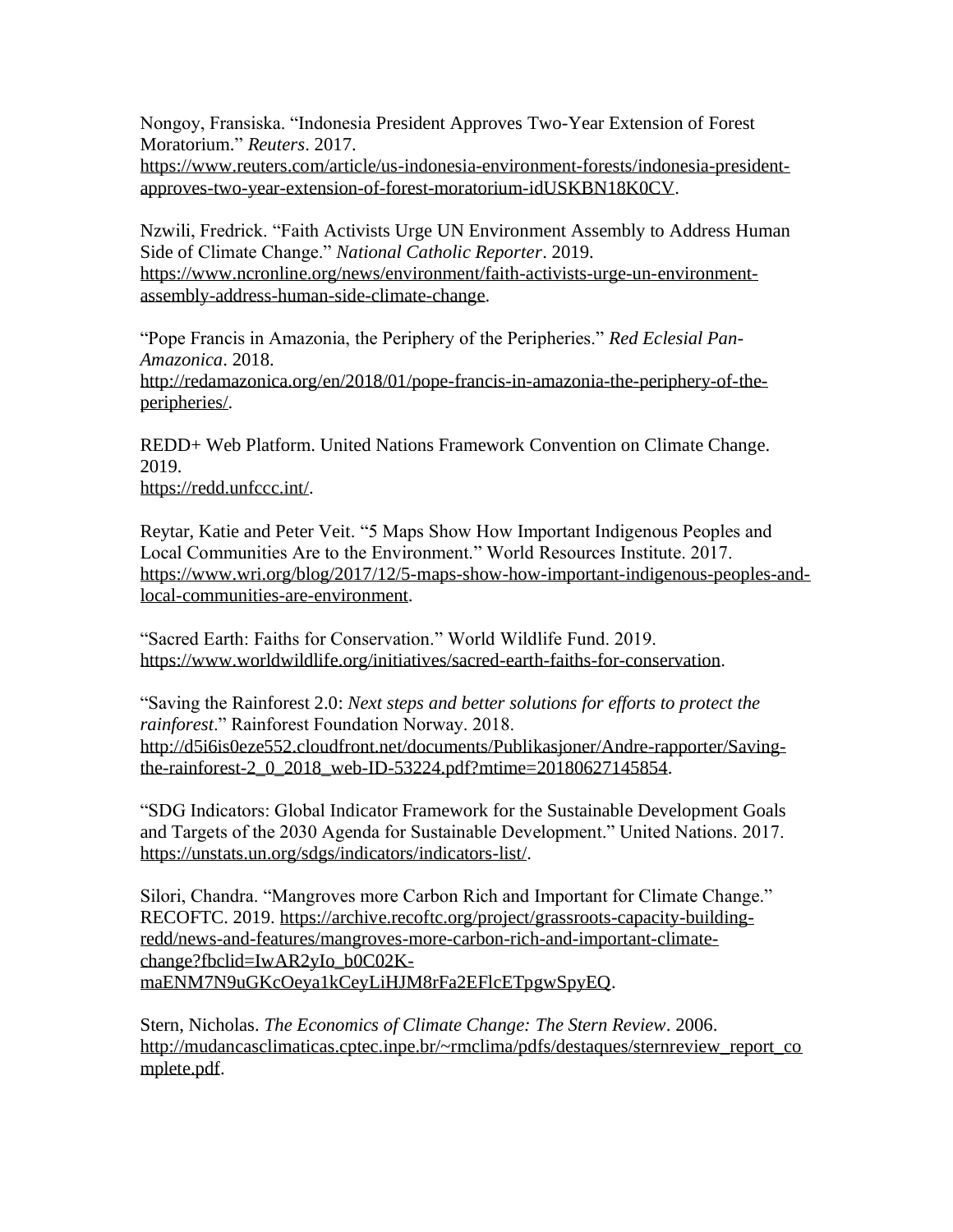Nongoy, Fransiska. "Indonesia President Approves Two-Year Extension of Forest Moratorium." *Reuters*. 2017.

[https://www.reuters.com/article/us-indonesia-environment-forests/indonesia-president](https://www.reuters.com/article/us-indonesia-environment-forests/indonesia-president-approves-two-year-extension-of-forest-moratorium-idUSKBN18K0CV)[approves-two-year-extension-of-forest-moratorium-idUSKBN18K0CV.](https://www.reuters.com/article/us-indonesia-environment-forests/indonesia-president-approves-two-year-extension-of-forest-moratorium-idUSKBN18K0CV)

Nzwili, Fredrick. "Faith Activists Urge UN Environment Assembly to Address Human Side of Climate Change." *National Catholic Reporter*. 2019. [https://www.ncronline.org/news/environment/faith-activists-urge-un-environment](https://www.ncronline.org/news/environment/faith-activists-urge-un-environment-assembly-address-human-side-climate-change)[assembly-address-human-side-climate-change.](https://www.ncronline.org/news/environment/faith-activists-urge-un-environment-assembly-address-human-side-climate-change)

"Pope Francis in Amazonia, the Periphery of the Peripheries." *Red Eclesial Pan-Amazonica*. 2018. [http://redamazonica.org/en/2018/01/pope-francis-in-amazonia-the-periphery-of-the](http://redamazonica.org/en/2018/01/pope-francis-in-amazonia-the-periphery-of-the-peripheries/)[peripheries/.](http://redamazonica.org/en/2018/01/pope-francis-in-amazonia-the-periphery-of-the-peripheries/)

REDD+ Web Platform. United Nations Framework Convention on Climate Change. 2019.

[https://redd.unfccc.int/.](https://redd.unfccc.int/)

Reytar, Katie and Peter Veit. "5 Maps Show How Important Indigenous Peoples and Local Communities Are to the Environment." World Resources Institute. 2017. [https://www.wri.org/blog/2017/12/5-maps-show-how-important-indigenous-peoples-and](https://www.wri.org/blog/2017/12/5-maps-show-how-important-indigenous-peoples-and-local-communities-are-environment)[local-communities-are-environment.](https://www.wri.org/blog/2017/12/5-maps-show-how-important-indigenous-peoples-and-local-communities-are-environment)

"Sacred Earth: Faiths for Conservation." World Wildlife Fund. 2019. [https://www.worldwildlife.org/initiatives/sacred-earth-faiths-for-conservation.](https://www.worldwildlife.org/initiatives/sacred-earth-faiths-for-conservation)

"Saving the Rainforest 2.0: *Next steps and better solutions for efforts to protect the rainforest*." Rainforest Foundation Norway. 2018. [http://d5i6is0eze552.cloudfront.net/documents/Publikasjoner/Andre-rapporter/Saving](http://d5i6is0eze552.cloudfront.net/documents/Publikasjoner/Andre-rapporter/Saving-the-rainforest-2_0_2018_web-ID-53224.pdf?mtime=20180627145854)[the-rainforest-2\\_0\\_2018\\_web-ID-53224.pdf?mtime=20180627145854.](http://d5i6is0eze552.cloudfront.net/documents/Publikasjoner/Andre-rapporter/Saving-the-rainforest-2_0_2018_web-ID-53224.pdf?mtime=20180627145854)

"SDG Indicators: Global Indicator Framework for the Sustainable Development Goals and Targets of the 2030 Agenda for Sustainable Development." United Nations. 2017. [https://unstats.un.org/sdgs/indicators/indicators-list/.](https://unstats.un.org/sdgs/indicators/indicators-list/)

Silori, Chandra. "Mangroves more Carbon Rich and Important for Climate Change." RECOFTC. 2019. [https://archive.recoftc.org/project/grassroots-capacity-building](https://archive.recoftc.org/project/grassroots-capacity-building-redd/news-and-features/mangroves-more-carbon-rich-and-important-climate-change?fbclid=IwAR2yIo_b0C02K-maENM7N9uGKcOeya1kCeyLiHJM8rFa2EFlcETpgwSpyEQ)[redd/news-and-features/mangroves-more-carbon-rich-and-important-climate](https://archive.recoftc.org/project/grassroots-capacity-building-redd/news-and-features/mangroves-more-carbon-rich-and-important-climate-change?fbclid=IwAR2yIo_b0C02K-maENM7N9uGKcOeya1kCeyLiHJM8rFa2EFlcETpgwSpyEQ)[change?fbclid=IwAR2yIo\\_b0C02K](https://archive.recoftc.org/project/grassroots-capacity-building-redd/news-and-features/mangroves-more-carbon-rich-and-important-climate-change?fbclid=IwAR2yIo_b0C02K-maENM7N9uGKcOeya1kCeyLiHJM8rFa2EFlcETpgwSpyEQ)[maENM7N9uGKcOeya1kCeyLiHJM8rFa2EFlcETpgwSpyEQ.](https://archive.recoftc.org/project/grassroots-capacity-building-redd/news-and-features/mangroves-more-carbon-rich-and-important-climate-change?fbclid=IwAR2yIo_b0C02K-maENM7N9uGKcOeya1kCeyLiHJM8rFa2EFlcETpgwSpyEQ)

Stern, Nicholas. *The Economics of Climate Change: The Stern Review*. 2006. [http://mudancasclimaticas.cptec.inpe.br/~rmclima/pdfs/destaques/sternreview\\_report\\_co](http://mudancasclimaticas.cptec.inpe.br/~rmclima/pdfs/destaques/sternreview_report_complete.pdf) [mplete.pdf.](http://mudancasclimaticas.cptec.inpe.br/~rmclima/pdfs/destaques/sternreview_report_complete.pdf)